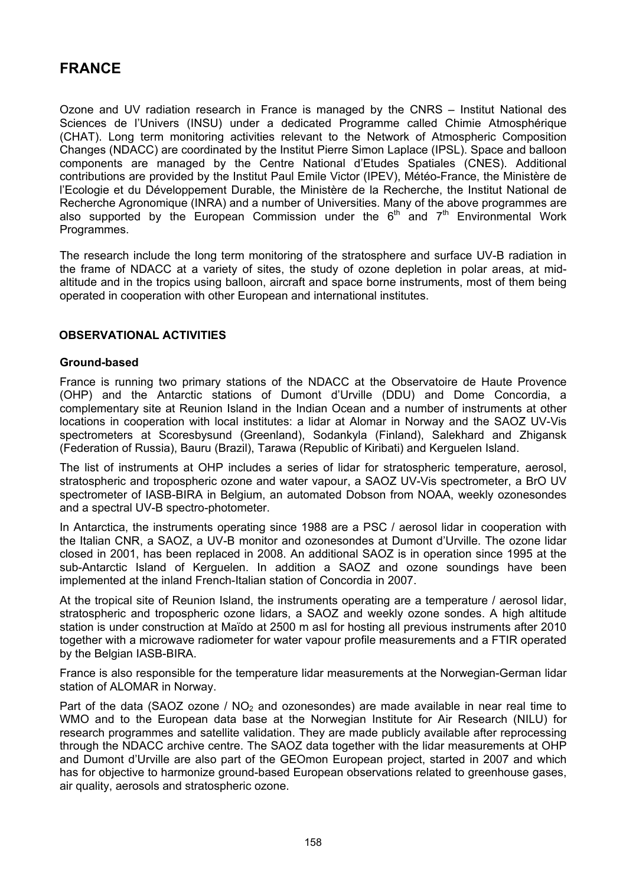# **FRANCE**

Ozone and UV radiation research in France is managed by the CNRS – Institut National des Sciences de l'Univers (INSU) under a dedicated Programme called Chimie Atmosphérique (CHAT). Long term monitoring activities relevant to the Network of Atmospheric Composition Changes (NDACC) are coordinated by the Institut Pierre Simon Laplace (IPSL). Space and balloon components are managed by the Centre National d'Etudes Spatiales (CNES). Additional contributions are provided by the Institut Paul Emile Victor (IPEV), Météo-France, the Ministère de l'Ecologie et du Développement Durable, the Ministère de la Recherche, the Institut National de Recherche Agronomique (INRA) and a number of Universities. Many of the above programmes are also supported by the European Commission under the  $6<sup>th</sup>$  and  $7<sup>th</sup>$  Environmental Work Programmes.

The research include the long term monitoring of the stratosphere and surface UV-B radiation in the frame of NDACC at a variety of sites, the study of ozone depletion in polar areas, at midaltitude and in the tropics using balloon, aircraft and space borne instruments, most of them being operated in cooperation with other European and international institutes.

# **OBSERVATIONAL ACTIVITIES**

# **Ground-based**

France is running two primary stations of the NDACC at the Observatoire de Haute Provence (OHP) and the Antarctic stations of Dumont d'Urville (DDU) and Dome Concordia, a complementary site at Reunion Island in the Indian Ocean and a number of instruments at other locations in cooperation with local institutes: a lidar at Alomar in Norway and the SAOZ UV-Vis spectrometers at Scoresbysund (Greenland), Sodankyla (Finland), Salekhard and Zhigansk (Federation of Russia), Bauru (Brazil), Tarawa (Republic of Kiribati) and Kerguelen Island.

The list of instruments at OHP includes a series of lidar for stratospheric temperature, aerosol, stratospheric and tropospheric ozone and water vapour, a SAOZ UV-Vis spectrometer, a BrO UV spectrometer of IASB-BIRA in Belgium, an automated Dobson from NOAA, weekly ozonesondes and a spectral UV-B spectro-photometer.

In Antarctica, the instruments operating since 1988 are a PSC / aerosol lidar in cooperation with the Italian CNR, a SAOZ, a UV-B monitor and ozonesondes at Dumont d'Urville. The ozone lidar closed in 2001, has been replaced in 2008. An additional SAOZ is in operation since 1995 at the sub-Antarctic Island of Kerguelen. In addition a SAOZ and ozone soundings have been implemented at the inland French-Italian station of Concordia in 2007.

At the tropical site of Reunion Island, the instruments operating are a temperature / aerosol lidar, stratospheric and tropospheric ozone lidars, a SAOZ and weekly ozone sondes. A high altitude station is under construction at Maïdo at 2500 m asl for hosting all previous instruments after 2010 together with a microwave radiometer for water vapour profile measurements and a FTIR operated by the Belgian IASB-BIRA.

France is also responsible for the temperature lidar measurements at the Norwegian-German lidar station of ALOMAR in Norway.

Part of the data (SAOZ ozone /  $NO<sub>2</sub>$  and ozonesondes) are made available in near real time to WMO and to the European data base at the Norwegian Institute for Air Research (NILU) for research programmes and satellite validation. They are made publicly available after reprocessing through the NDACC archive centre. The SAOZ data together with the lidar measurements at OHP and Dumont d'Urville are also part of the GEOmon European project, started in 2007 and which has for objective to harmonize ground-based European observations related to greenhouse gases, air quality, aerosols and stratospheric ozone.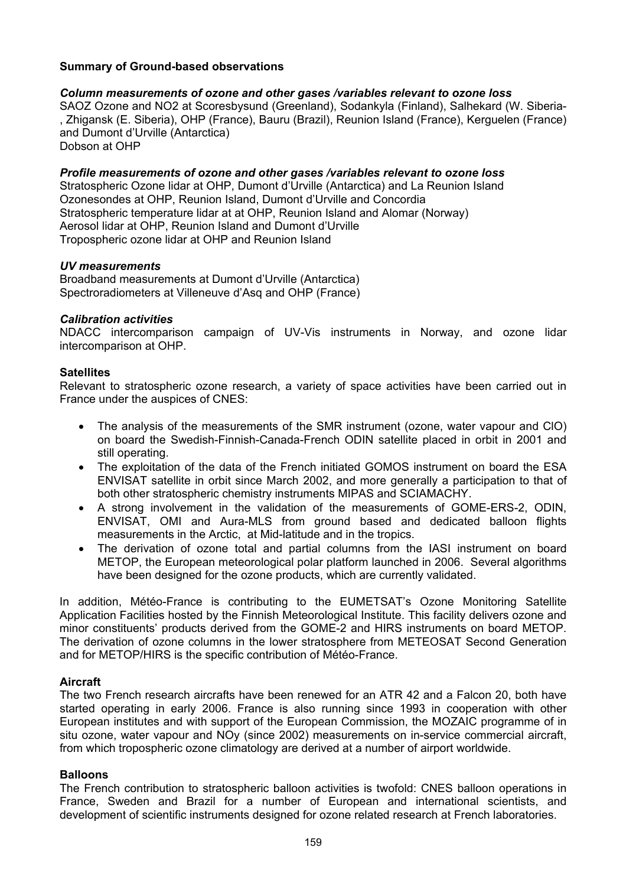# **Summary of Ground-based observations**

#### *Column measurements of ozone and other gases /variables relevant to ozone loss*

SAOZ Ozone and NO2 at Scoresbysund (Greenland), Sodankyla (Finland), Salhekard (W. Siberia- , Zhigansk (E. Siberia), OHP (France), Bauru (Brazil), Reunion Island (France), Kerguelen (France) and Dumont d'Urville (Antarctica) Dobson at OHP

*Profile measurements of ozone and other gases /variables relevant to ozone loss* 

Stratospheric Ozone lidar at OHP, Dumont d'Urville (Antarctica) and La Reunion Island Ozonesondes at OHP, Reunion Island, Dumont d'Urville and Concordia Stratospheric temperature lidar at at OHP, Reunion Island and Alomar (Norway) Aerosol lidar at OHP, Reunion Island and Dumont d'Urville Tropospheric ozone lidar at OHP and Reunion Island

#### *UV measurements*

Broadband measurements at Dumont d'Urville (Antarctica) Spectroradiometers at Villeneuve d'Asq and OHP (France)

#### *Calibration activities*

NDACC intercomparison campaign of UV-Vis instruments in Norway, and ozone lidar intercomparison at OHP.

#### **Satellites**

Relevant to stratospheric ozone research, a variety of space activities have been carried out in France under the auspices of CNES:

- The analysis of the measurements of the SMR instrument (ozone, water vapour and ClO) on board the Swedish-Finnish-Canada-French ODIN satellite placed in orbit in 2001 and still operating.
- The exploitation of the data of the French initiated GOMOS instrument on board the ESA ENVISAT satellite in orbit since March 2002, and more generally a participation to that of both other stratospheric chemistry instruments MIPAS and SCIAMACHY.
- A strong involvement in the validation of the measurements of GOME-ERS-2, ODIN, ENVISAT, OMI and Aura-MLS from ground based and dedicated balloon flights measurements in the Arctic, at Mid-latitude and in the tropics.
- The derivation of ozone total and partial columns from the IASI instrument on board METOP, the European meteorological polar platform launched in 2006. Several algorithms have been designed for the ozone products, which are currently validated.

In addition, Météo-France is contributing to the EUMETSAT's Ozone Monitoring Satellite Application Facilities hosted by the Finnish Meteorological Institute. This facility delivers ozone and minor constituents' products derived from the GOME-2 and HIRS instruments on board METOP. The derivation of ozone columns in the lower stratosphere from METEOSAT Second Generation and for METOP/HIRS is the specific contribution of Météo-France.

# **Aircraft**

The two French research aircrafts have been renewed for an ATR 42 and a Falcon 20, both have started operating in early 2006. France is also running since 1993 in cooperation with other European institutes and with support of the European Commission, the MOZAIC programme of in situ ozone, water vapour and NOy (since 2002) measurements on in-service commercial aircraft, from which tropospheric ozone climatology are derived at a number of airport worldwide.

# **Balloons**

The French contribution to stratospheric balloon activities is twofold: CNES balloon operations in France, Sweden and Brazil for a number of European and international scientists, and development of scientific instruments designed for ozone related research at French laboratories.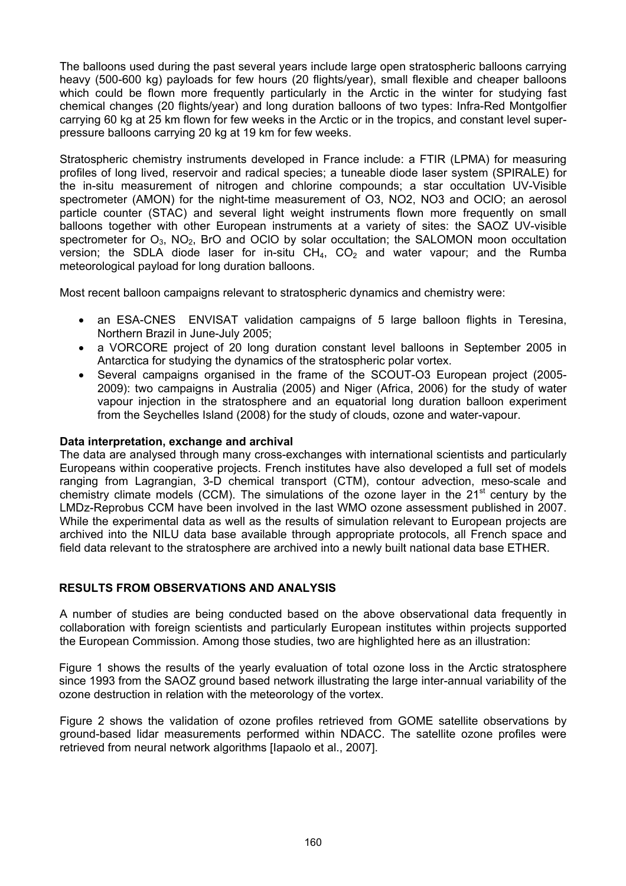The balloons used during the past several years include large open stratospheric balloons carrying heavy (500-600 kg) payloads for few hours (20 flights/year), small flexible and cheaper balloons which could be flown more frequently particularly in the Arctic in the winter for studying fast chemical changes (20 flights/year) and long duration balloons of two types: Infra-Red Montgolfier carrying 60 kg at 25 km flown for few weeks in the Arctic or in the tropics, and constant level superpressure balloons carrying 20 kg at 19 km for few weeks.

Stratospheric chemistry instruments developed in France include: a FTIR (LPMA) for measuring profiles of long lived, reservoir and radical species; a tuneable diode laser system (SPIRALE) for the in-situ measurement of nitrogen and chlorine compounds; a star occultation UV-Visible spectrometer (AMON) for the night-time measurement of O3, NO2, NO3 and OClO; an aerosol particle counter (STAC) and several light weight instruments flown more frequently on small balloons together with other European instruments at a variety of sites: the SAOZ UV-visible spectrometer for  $O_3$ ,  $NO_2$ , BrO and OCIO by solar occultation; the SALOMON moon occultation version; the SDLA diode laser for in-situ  $CH_4$ ,  $CO_2$  and water vapour; and the Rumba meteorological payload for long duration balloons.

Most recent balloon campaigns relevant to stratospheric dynamics and chemistry were:

- an ESA-CNES ENVISAT validation campaigns of 5 large balloon flights in Teresina, Northern Brazil in June-July 2005;
- a VORCORE project of 20 long duration constant level balloons in September 2005 in Antarctica for studying the dynamics of the stratospheric polar vortex.
- Several campaigns organised in the frame of the SCOUT-O3 European project (2005- 2009): two campaigns in Australia (2005) and Niger (Africa, 2006) for the study of water vapour injection in the stratosphere and an equatorial long duration balloon experiment from the Seychelles Island (2008) for the study of clouds, ozone and water-vapour.

# **Data interpretation, exchange and archival**

The data are analysed through many cross-exchanges with international scientists and particularly Europeans within cooperative projects. French institutes have also developed a full set of models ranging from Lagrangian, 3-D chemical transport (CTM), contour advection, meso-scale and chemistry climate models (CCM). The simulations of the ozone layer in the  $21<sup>st</sup>$  century by the LMDz-Reprobus CCM have been involved in the last WMO ozone assessment published in 2007. While the experimental data as well as the results of simulation relevant to European projects are archived into the NILU data base available through appropriate protocols, all French space and field data relevant to the stratosphere are archived into a newly built national data base ETHER.

# **RESULTS FROM OBSERVATIONS AND ANALYSIS**

A number of studies are being conducted based on the above observational data frequently in collaboration with foreign scientists and particularly European institutes within projects supported the European Commission. Among those studies, two are highlighted here as an illustration:

Figure 1 shows the results of the yearly evaluation of total ozone loss in the Arctic stratosphere since 1993 from the SAOZ ground based network illustrating the large inter-annual variability of the ozone destruction in relation with the meteorology of the vortex.

Figure 2 shows the validation of ozone profiles retrieved from GOME satellite observations by ground-based lidar measurements performed within NDACC. The satellite ozone profiles were retrieved from neural network algorithms [Iapaolo et al., 2007].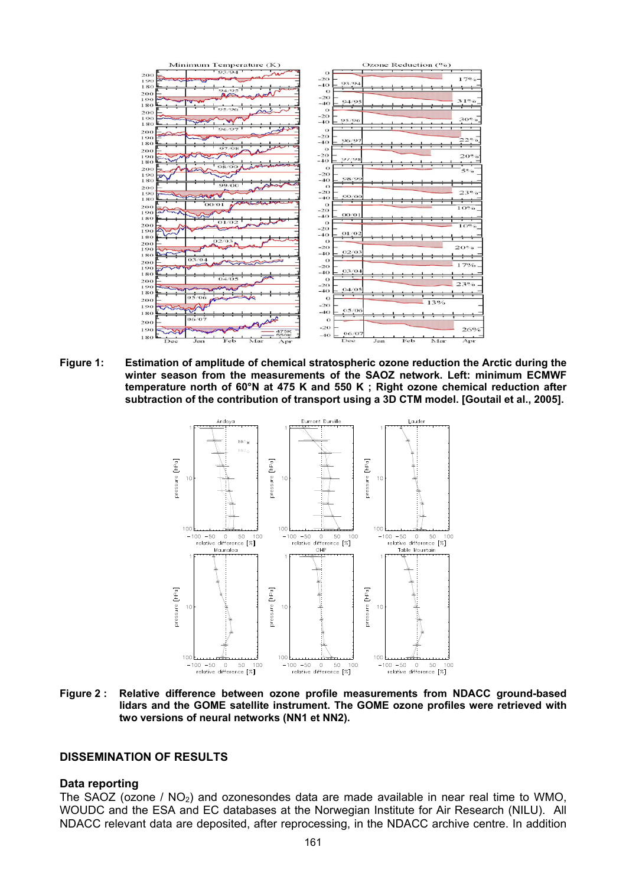| Minimum Temperature (K)         | Ozone Reduction (%)             |
|---------------------------------|---------------------------------|
| 93/94                           | т<br>$\Omega$                   |
| 200<br>190                      | $170^{\circ}$<br>$-20$          |
| 180                             | 93/94<br>$-40$                  |
| 94/95                           | $\Omega$                        |
| 200<br>AF                       | $-20$                           |
| 190                             | 31%<br>94/95<br>$-40$           |
| 180<br>05/06                    | $\circ$                         |
| 200                             | $-20$                           |
| 190                             | 30%<br>95/96<br>$-40$           |
| 180                             |                                 |
| 96/97<br>200                    | $\circ$                         |
| 190                             | $-20$<br>$22^\circ$<br>96/97    |
| 180                             | $-40$<br>÷                      |
| O7/O8<br>200                    | $\circ$                         |
| 190                             | $-20$<br>20%                    |
| 180<br>فتحصم                    | 97/98<br>$-40$                  |
| 98/99<br>200                    | $\circ$<br>5%                   |
| 190                             | $-20$                           |
| 180                             | 98/99<br>$-40$<br>۰             |
| 99/00<br>200                    | $\Omega$                        |
| 190                             | 23°<br>$-20$                    |
| <b>BOW</b><br>180               | 99/00<br>$-40$                  |
| OO/O1<br>200                    | $\Omega$                        |
| $\sim$<br>190                   | $10\%$<br>$-20$                 |
| 180                             | 00/01<br>$-40$                  |
| 01/02                           | $\Omega$                        |
| 200<br>190                      | 10%<br>$-20$                    |
|                                 | 01/02<br>$-40$                  |
| 180<br>02/03                    | $\Omega$                        |
| 200<br>190                      | 20%<br>$-20$                    |
| n<br>180                        | 02/03<br>$-40$                  |
| 03/04                           | $\Omega$                        |
| 200                             | 17%<br>$-20$                    |
| 190<br>$\sim$                   | 03/04<br>$-40$                  |
| 180<br>04/05                    |                                 |
| 200                             | $\Omega$<br>23%                 |
| 190<br>≂                        | $-20$<br>04/05<br>$-40$         |
| 180                             |                                 |
| 05/06<br>200                    | $\Omega$<br>13%                 |
| 190                             | $-20$                           |
| 180                             | 05/06<br>$-40$                  |
| 06/07                           | $\Omega$                        |
| 200<br>and                      |                                 |
| 190<br>475K                     | $-20$<br>26%                    |
| <b>550K</b><br>180              | 06/07<br>$-40$                  |
| Feb<br>Mar<br>Dec<br>Jan<br>Apr | Dec<br>Feb<br>Jan<br>Mar<br>Apr |

**Figure 1: Estimation of amplitude of chemical stratospheric ozone reduction the Arctic during the winter season from the measurements of the SAOZ network. Left: minimum ECMWF temperature north of 60°N at 475 K and 550 K ; Right ozone chemical reduction after subtraction of the contribution of transport using a 3D CTM model. [Goutail et al., 2005].** 



**Figure 2 : Relative difference between ozone profile measurements from NDACC ground-based lidars and the GOME satellite instrument. The GOME ozone profiles were retrieved with two versions of neural networks (NN1 et NN2).** 

#### **DISSEMINATION OF RESULTS**

#### **Data reporting**

The SAOZ (ozone /  $NO<sub>2</sub>$ ) and ozonesondes data are made available in near real time to WMO, WOUDC and the ESA and EC databases at the Norwegian Institute for Air Research (NILU). All NDACC relevant data are deposited, after reprocessing, in the NDACC archive centre. In addition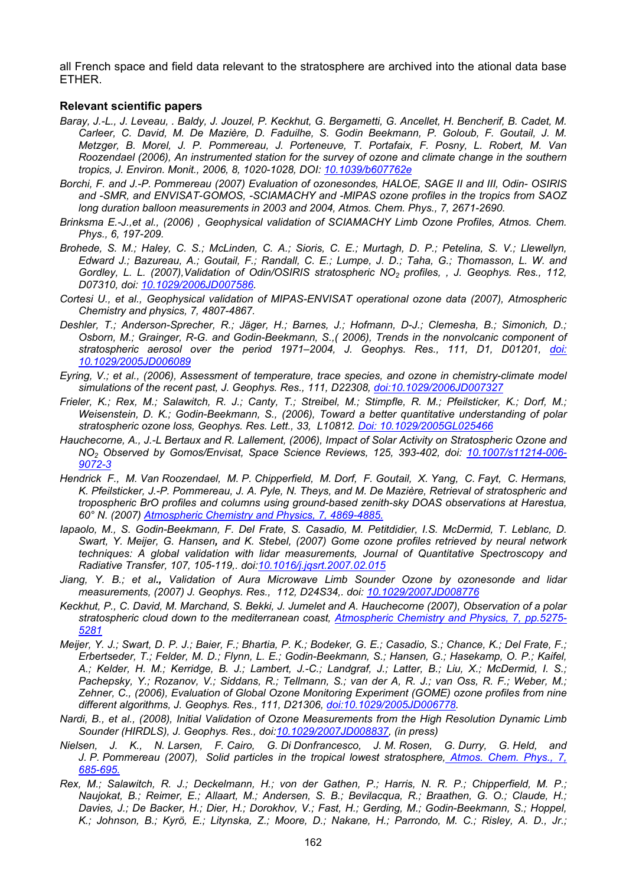all French space and field data relevant to the stratosphere are archived into the ational data base ETHER.

#### **Relevant scientific papers**

- *Baray, J.-L., J. Leveau, . Baldy, J. Jouzel, P. Keckhut, G. Bergametti, G. Ancellet, H. Bencherif, B. Cadet, M. Carleer, C. David, M. De Mazière, D. Faduilhe, S. Godin Beekmann, P. Goloub, F. Goutail, J. M. Metzger, B. Morel, J. P. Pommereau, J. Porteneuve, T. Portafaix, F. Posny, L. Robert, M. Van Roozendael (2006), An instrumented station for the survey of ozone and climate change in the southern tropics, J. Environ. Monit., 2006, 8, 1020-1028, DOI: [10.1039/b607762e](http://dx.doi.org/10.1039/b607762e)*
- *Borchi, F. and J.-P. Pommereau (2007) Evaluation of ozonesondes, HALOE, SAGE II and III, Odin- OSIRIS and -SMR, and ENVISAT-GOMOS, -SCIAMACHY and -MIPAS ozone profiles in the tropics from SAOZ long duration balloon measurements in 2003 and 2004, Atmos. Chem. Phys., 7, 2671-2690.*
- *Brinksma E.-J.,et al., (2006) , Geophysical validation of SCIAMACHY Limb Ozone Profiles, Atmos. Chem. Phys., 6, 197-209.*
- *Brohede, S. M.; Haley, C. S.; McLinden, C. A.; Sioris, C. E.; Murtagh, D. P.; Petelina, S. V.; Llewellyn, Edward J.; Bazureau, A.; Goutail, F.; Randall, C. E.; Lumpe, J. D.; Taha, G.; Thomasson, L. W. and Gordley, L. L. (2007),Validation of Odin/OSIRIS stratospheric NO2 profiles, , J. Geophys. Res., 112, D07310, doi: [10.1029/2006JD007586.](http://dx.doi.org/10.1029/2006JD007586)*
- *Cortesi U., et al., Geophysical validation of MIPAS-ENVISAT operational ozone data (2007), Atmospheric Chemistry and physics, 7, 4807-4867.*
- *Deshler, T.; Anderson-Sprecher, R.; Jäger, H.; Barnes, J.; Hofmann, D-J.; Clemesha, B.; Simonich, D.; Osborn, M.; Grainger, R-G. and Godin-Beekmann, S.,( 2006), Trends in the nonvolcanic component of stratospheric aerosol over the period 1971–2004, J. Geophys. Res., 111, D1, D01201, [doi:](http://dx.doi.org/10.1029/2005JD006089)  [10.1029/2005JD006089](http://dx.doi.org/10.1029/2005JD006089)*
- *Eyring, V.; et al., (2006), Assessment of temperature, trace species, and ozone in chemistry-climate model simulations of the recent past, J. Geophys. Res., 111, D22308, [doi:10.1029/2006JD007327](http://dx.doi.org/10.1029/2006JD007327)*
- *Frieler, K.; Rex, M.; Salawitch, R. J.; Canty, T.; Streibel, M.; Stimpfle, R. M.; Pfeilsticker, K.; Dorf, M.; Weisenstein, D. K.; Godin-Beekmann, S., (2006), Toward a better quantitative understanding of polar stratospheric ozone loss, Geophys. Res. Lett., 33, L10812. [Doi: 10.1029/2005GL025466](http://dx.doi.org/10.1029/2005GL025466)*
- *Hauchecorne, A., J.-L Bertaux and R. Lallement, (2006), Impact of Solar Activity on Stratospheric Ozone and NO2 Observed by Gomos/Envisat, Space Science Reviews, 125, 393-402, doi: [10.1007/s11214-006-](http://dx.doi.org/10.1007/s11214-006-9072-3) [9072-3](http://dx.doi.org/10.1007/s11214-006-9072-3)*
- *Hendrick F., M. Van Roozendael, M. P. Chipperfield, M. Dorf, F. Goutail, X. Yang, C. Fayt, C. Hermans, K. Pfeilsticker, J.-P. Pommereau, J. A. Pyle, N. Theys, and M. De Mazière, Retrieval of stratospheric and tropospheric BrO profiles and columns using ground-based zenith-sky DOAS observations at Harestua, 60° N. (2007) [Atmospheric Chemistry and Physics, 7, 4869-4885.](http://www.atmos-chem-phys.net/7/4869/2007/)*
- *Iapaolo, M., S. Godin-Beekmann, F. Del Frate, S. Casadio, M. Petitdidier, I.S. McDermid, T. Leblanc, D. Swart, Y. Meijer, G. Hansen, and K. Stebel, (2007) Gome ozone profiles retrieved by neural network techniques: A global validation with lidar measurements, Journal of Quantitative Spectroscopy and Radiative Transfer, 107, 105-119,. doi[:10.1016/j.jqsrt.2007.02.015](http://dx.doi.org/10.1016/j.jqsrt.2007.02.015)*
- *Jiang, Y. B.; et al., Validation of Aura Microwave Limb Sounder Ozone by ozonesonde and lidar measurements, (2007) J. Geophys. Res., 112, D24S34,. doi: [10.1029/2007JD008776](http://dx.doi.org/10.1029/2007JD008776)*
- *Keckhut, P., C. David, M. Marchand, S. Bekki, J. Jumelet and A. Hauchecorne (2007), Observation of a polar stratospheric cloud down to the mediterranean coast, [Atmospheric Chemistry and Physics, 7, pp.5275-](http://www.atmos-chem-phys.net/7/5275/2007/) [5281](http://www.atmos-chem-phys.net/7/5275/2007/)*
- *Meijer, Y. J.; Swart, D. P. J.; Baier, F.; Bhartia, P. K.; Bodeker, G. E.; Casadio, S.; Chance, K.; Del Frate, F.; Erbertseder, T.; Felder, M. D.; Flynn, L. E.; Godin-Beekmann, S.; Hansen, G.; Hasekamp, O. P.; Kaifel, A.; Kelder, H. M.; Kerridge, B. J.; Lambert, J.-C.; Landgraf, J.; Latter, B.; Liu, X.; McDermid, I. S.; Pachepsky, Y.; Rozanov, V.; Siddans, R.; Tellmann, S.; van der A, R. J.; van Oss, R. F.; Weber, M.; Zehner, C., (2006), Evaluation of Global Ozone Monitoring Experiment (GOME) ozone profiles from nine different algorithms, J. Geophys. Res., 111, D21306, [doi:10.1029/2005JD006778](http://dx.doi.org/10.1029/2005JD006778).*
- *Nardi, B., et al., (2008), Initial Validation of Ozone Measurements from the High Resolution Dynamic Limb Sounder (HIRDLS), J. Geophys. Res., doi[:10.1029/2007JD008837](http://dx.doi.org/10.1029/2007JD008837), (in press)*
- *Nielsen, J. K., N. Larsen, F. Cairo, G. Di Donfrancesco, J. M. Rosen, G. Durry, G. Held, and J. P. Pommereau (2007), Solid particles in the tropical lowest stratosphere[, Atmos. Chem. Phys., 7,](http://www.atmos-chem-phys.net/7/685/2007/acp-7-685-2007.html)  [685-695.](http://www.atmos-chem-phys.net/7/685/2007/acp-7-685-2007.html)*
- *Rex, M.; Salawitch, R. J.; Deckelmann, H.; von der Gathen, P.; Harris, N. R. P.; Chipperfield, M. P.; Naujokat, B.; Reimer, E.; Allaart, M.; Andersen, S. B.; Bevilacqua, R.; Braathen, G. O.; Claude, H.; Davies, J.; De Backer, H.; Dier, H.; Dorokhov, V.; Fast, H.; Gerding, M.; Godin-Beekmann, S.; Hoppel, K.; Johnson, B.; Kyrö, E.; Litynska, Z.; Moore, D.; Nakane, H.; Parrondo, M. C.; Risley, A. D., Jr.;*